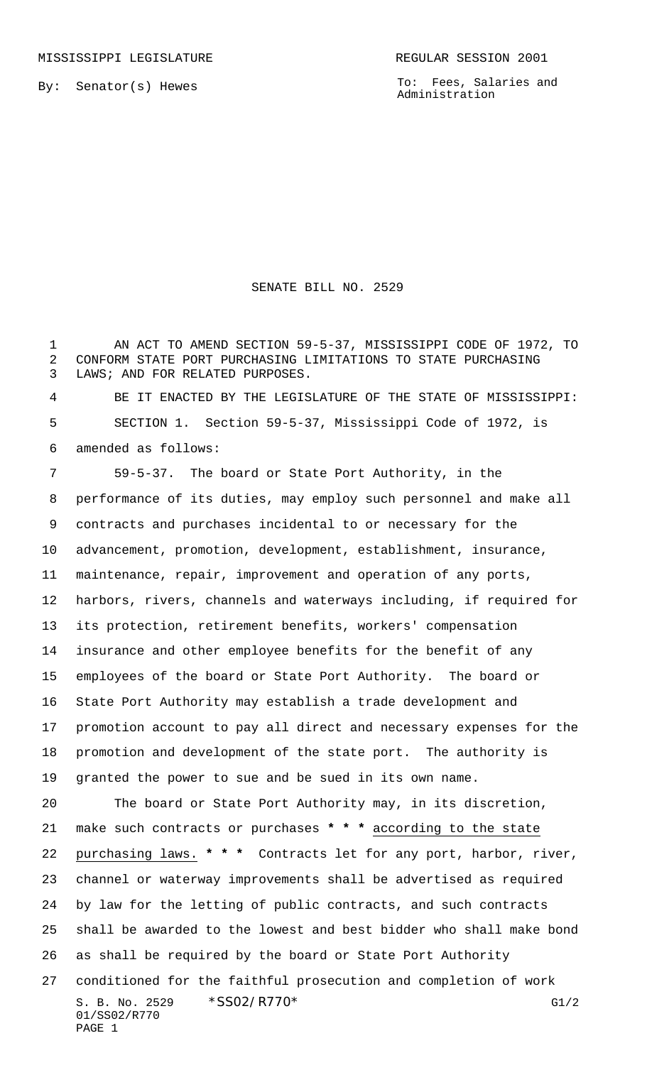By: Senator(s) Hewes

To: Fees, Salaries and Administration

## SENATE BILL NO. 2529

 AN ACT TO AMEND SECTION 59-5-37, MISSISSIPPI CODE OF 1972, TO CONFORM STATE PORT PURCHASING LIMITATIONS TO STATE PURCHASING LAWS; AND FOR RELATED PURPOSES.

 BE IT ENACTED BY THE LEGISLATURE OF THE STATE OF MISSISSIPPI: SECTION 1. Section 59-5-37, Mississippi Code of 1972, is amended as follows:

S. B. No. 2529 \* SSO2/R770\* G1/2 01/SS02/R770 PAGE 1 59-5-37. The board or State Port Authority, in the performance of its duties, may employ such personnel and make all contracts and purchases incidental to or necessary for the advancement, promotion, development, establishment, insurance, maintenance, repair, improvement and operation of any ports, harbors, rivers, channels and waterways including, if required for its protection, retirement benefits, workers' compensation insurance and other employee benefits for the benefit of any employees of the board or State Port Authority. The board or State Port Authority may establish a trade development and promotion account to pay all direct and necessary expenses for the promotion and development of the state port. The authority is granted the power to sue and be sued in its own name. The board or State Port Authority may, in its discretion, make such contracts or purchases **\* \* \*** according to the state purchasing laws. **\* \* \*** Contracts let for any port, harbor, river, channel or waterway improvements shall be advertised as required by law for the letting of public contracts, and such contracts shall be awarded to the lowest and best bidder who shall make bond as shall be required by the board or State Port Authority conditioned for the faithful prosecution and completion of work